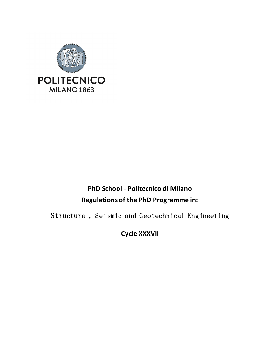

# **PhD School - Politecnico di Milano Regulations of the PhD Programme in:**

Structural, Seismic and Geotechnical Engineering

**Cycle XXXVII**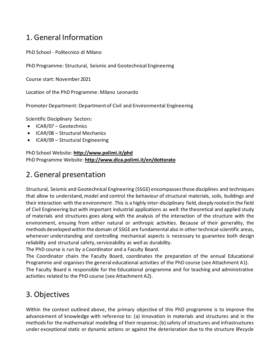## 1. General Information

PhD School - Politecnico di Milano

PhD Programme: Structural, Seismic and Geotechnical Engineering

Course start: November 2021

Location of the PhD Programme: Milano Leonardo

Promoter Department: Department of Civil and Environmental Engineering

Scientific Disciplinary Sectors:

- ICAR/07 Geotechnics
- ICAR/08 Structural Mechanics
- ICAR/09 Structural Engineering

PhD School Website: **<http://www.polimi.it/phd>** PhD Programme Website: **<http://www.dica.polimi.it/en/dottorato>**

## 2. General presentation

Structural, Seismic and Geotechnical Engineering (SSGE) encompasses those disciplines and techniques that allow to understand, model and control the behaviour of structural materials, soils, buildings and their interaction with the environment . This is a highly inter-disciplinary field, deeply rooted in the field of Civil Engineering but with important industrial applications as well: the theoretical and applied study of materials and structures goes along with the analysis of the interaction of the structure with the environment, ensuing from either natural or anthropic activities. Because of their generality, the methods developed within the domain of SSGE are fundamental also in other technical-scientific areas, whenever understanding and controlling mechanical aspects is necessary to guarantee both design reliability and structural safety, serviceability as well as durability.

The PhD course is run by a Coordinator and a Faculty Board.

The Coordinator chairs the Faculty Board, coordinates the preparation of the annual Educational Programme and organises the general educational activities of the PhD course (see Attachment A1).

The Faculty Board is responsible for the Educational programme and for teaching and administrative activities related to the PhD course (see Attachment A2).

## 3. Objectives

Within the context outlined above, the primary objective of this PhD programme is to improve the advancement of knowledge with reference to: (a) innovation in materials and structures and in the methods for the mathematical modelling of their response; (b) safety of structures and infrastructures under exceptional static or dynamic actions or against the deterioration due to the structure lifecycle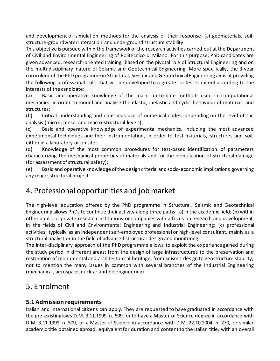and development of simulation methods for the analysis of their response; (c) geomaterials, soilstructure-groundwater interaction and underground structure stability.

This objective is pursued within the framework of the research activities carried out at the Department of Civil and Environmental Engineering of Politecnico di Milano. For this purpose, PhD candidates are given advanced, research-oriented training, based on the pivotal role of Structural Engineering and on the multi-disciplinary nature of Seismic and Geotechnical Engineering. More specifically, the 3-year curriculum of the PhD programme in Structural, Seismic and Geotechnical Engineering aims at providing the following professional skills that will be developed to a greater or lesser extent according to the interests of the candidate:

(a) Basic and operative knowledge of the main, up-to-date methods used in computational mechanics, in order to model and analyse the elastic, inelastic and cyclic behaviour of materials and structures;

(b) Critical understanding and conscious use of numerical codes, depending on the level of the analysis (micro-, meso- and macro-structural levels);

(c) Basic and operative knowledge of experimental mechanics, including the most advanced experimental techniques and their instrumentation, in order to test materials, structures and soil, either in a laboratory or on site;

(d) Knowledge of the most common procedures for test-based identification of parameters characterizing the mechanical properties of materials and for the identification of structural damage (for assessment of structural safety);

(e) Basic and operative knowledge of the design criteria and socio-economic implications governing any major structural project.

## 4. Professional opportunities and job market

The high-level education offered by the PhD programme in Structural, Seismic and Geotechnical Engineering allows PhDs to continue their activity along three paths: (a) in the academic field; (b) within other public or private research institutions or companies with a focus on research and development, in the fields of Civil and Environmental Engineering and Industrial Engineering; (c) professional activities, typically as an independent self-employed professional or high-level consultant, mainly as a structural analyst or in the field of advanced structural design and monitoring.

The inter-disciplinary approach of the PhD programme allows to exploit the experience gained during the study period in different areas: from the design of large infrastructures to the preservation and restoration of monumental and architectonical heritage, from seismic design to geostructure stability, not to mention the many issues in common with several branches of the Industrial Engineering (mechanical, aerospace, nuclear and bioengineering).

## 5. Enrolment

## **5.1 Admission requirements**

Italian and International citizens can apply. They are requested to have graduated in accordance with the pre-existing laws D.M. 3.11.1999 n. 509, or to have a Master of Science degree in accordance with D.M. 3.11.1999 n. 509, or a Master of Science in accordance with D.M. 22.10.2004 n. 270, or similar academic title obtained abroad, equivalent for duration and content to the Italian title, with an overall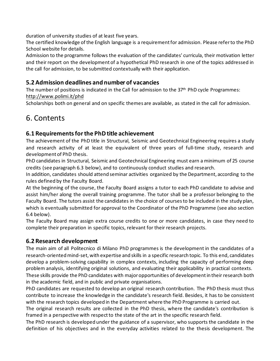duration of university studies of at least five years.

The certified knowledge of the English language is a requirement for admission. Please refer to the PhD School website for details.

Admission to the programme follows the evaluation of the candidates' curricula, their motivation letter and their report on the development of a hypothetical PhD research in one of the topics addressed in the call for admission, to be submitted contextually with their application.

## **5.2 Admission deadlines and number of vacancies**

The number of positions is indicated in the Call for admission to the 37<sup>th</sup> PhD cycle Programmes: <http://www.polimi.it/phd>

Scholarships both on general and on specific themes are available, as stated in the call for admission.

## 6. Contents

## **6.1 Requirements for the PhD title achievement**

The achievement of the PhD title in Structural, Seismic and Geotechnical Engineering requires a study and research activity of at least the equivalent of three years of full-time study, research and development of PhD thesis.

PhD candidates in Structural, Seismic and Geotechnical Engineering must earn a minimum of 25 course credits (see paragraph 6.3 below), and to continuously conduct studies and research.

In addition, candidates should attend seminar activities organized by the Department, according to the rules defined by the Faculty Board.

At the beginning of the course, the Faculty Board assigns a tutor to each PhD candidate to advise and assist him/her along the overall training programme. The tutor shall be a professor belonging to the Faculty Board. The tutors assist the candidates in the choice of courses to be included in the study plan, which is eventually submitted for approval to the Coordinator of the PhD Programme (see also section 6.4 below).

The Faculty Board may assign extra course credits to one or more candidates, in case they need to complete their preparation in specific topics, relevant for their research projects.

## **6.2 Research development**

The main aim of all Politecnico di Milano PhD programmes is the development in the candidates of a research-oriented mind-set, with expertise and skills in a specific research topic. To this end, candidates develop a problem-solving capability in complex contexts, including the capacity of performing deep problem analysis, identifying original solutions, and evaluating their applicability in practical contexts.

These skills provide the PhD candidates with major opportunities of development in their research both in the academic field, and in public and private organisations.

PhD candidates are requested to develop an original research contribution. The PhD thesis must thus contribute to increase the knowledge in the candidate's research field. Besides, it has to be consistent with the research topics developed in the Department where the PhD Programme is carried out.

The original research results are collected in the PhD thesis, where the candidate's contribution is framed in a perspective with respect to the state of the art in the specific research field.

The PhD research is developed under the guidance of a supervisor, who supports the candidate in the definition of his objectives and in the everyday activities related to the thesis development. The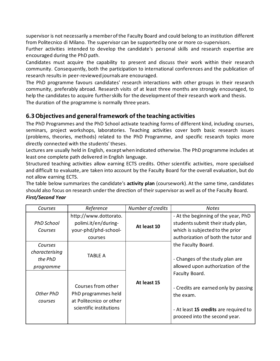supervisor is not necessarily a member of the Faculty Board and could belong to an institution different from Politecnico di Milano. The supervisor can be supported by one or more co-supervisors.

Further activities intended to develop the candidate's personal skills and research expertise are encouraged during the PhD path.

Candidates must acquire the capability to present and discuss their work within their research community. Consequently, both the participation to international conferences and the publication of research results in peer-reviewed journals are encouraged.

The PhD programme favours candidates' research interactions with other groups in their research community, preferably abroad. Research visits of at least three months are strongly encouraged, to help the candidates to acquire further skills for the development of their research work and thesis. The duration of the programme is normally three years.

## **6.3 Objectives and general framework of the teaching activities**

The PhD Programmes and the PhD School activate teaching forms of different kind, including courses, seminars, project workshops, laboratories. Teaching activities cover both basic research issues (problems, theories, methods) related to the PhD Programme, and specific research topics more directly connected with the students'theses.

Lectures are usually held in English, except when indicated otherwise. The PhD programme includes at least one complete path delivered in English language.

Structured teaching activities allow earning ECTS credits. Other scientific activities, more specialised and difficult to evaluate, are taken into account by the Faculty Board for the overall evaluation, but do not allow earning ECTS.

The table below summarizes the candidate's **activity plan** (coursework). At the same time, candidates should also focus on research under the direction of their supervisor as well as of the Faculty Board. *First/Second Year* 

| Courses                                           | Reference                                                                                       | Number of credits | <b>Notes</b>                                                                                                                                       |
|---------------------------------------------------|-------------------------------------------------------------------------------------------------|-------------------|----------------------------------------------------------------------------------------------------------------------------------------------------|
| PhD School<br>Courses                             | http://www.dottorato.<br>polimi.it/en/during-<br>your-phd/phd-school-<br>courses                | At least 10       | - At the beginning of the year, PhD<br>students submit their study plan,<br>which is subjected to the prior<br>authorization of both the tutor and |
| Courses<br>characterising<br>the PhD<br>programme | TABLE A                                                                                         |                   | the Faculty Board.<br>- Changes of the study plan are<br>allowed upon authorization of the                                                         |
| Other PhD<br>courses                              | Courses from other<br>PhD programmes held<br>at Politecnico or other<br>scientific institutions | At least 15       | Faculty Board.<br>- Credits are earned only by passing<br>the exam.<br>- At least 15 credits are required to<br>proceed into the second year.      |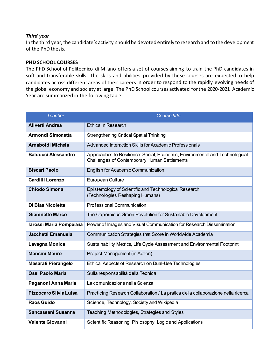### *Third year*

In the third year, the candidate's activity should be devoted entirely to research and to the development of the PhD thesis.

#### **PHD SCHOOL COURSES**

The PhD School of Politecnico di Milano offers a set of courses aiming to train the PhD candidates in soft and transferable skills. The skills and abilities provided by these courses are expected to help candidates across different areas of their careers in order to respond to the rapidly evolving needs of the global economy and society at large. The PhD School courses activated for the 2020-2021 Academic Year are summarized in the following table.

| <b>Teacher</b>             | <b>Course title</b>                                                                                                         |  |
|----------------------------|-----------------------------------------------------------------------------------------------------------------------------|--|
| <b>Aliverti Andrea</b>     | <b>Ethics in Research</b>                                                                                                   |  |
| Armondi Simonetta          | <b>Strengthening Critical Spatial Thinking</b>                                                                              |  |
| Arnaboldi Michela          | Advanced Interaction Skills for Academic Professionals                                                                      |  |
| <b>Balducci Alessandro</b> | Approaches to Resilience: Social, Economic, Environmental and Technological<br>Challenges of Contemporary Human Settlements |  |
| <b>Biscari Paolo</b>       | English for Academic Communication                                                                                          |  |
| <b>Cardilli Lorenzo</b>    | European Culture                                                                                                            |  |
| <b>Chiodo Simona</b>       | Epistemology of Scientific and Technological Research<br>(Technologies Reshaping Humans)                                    |  |
| Di Blas Nicoletta          | <b>Professional Communication</b>                                                                                           |  |
| <b>Gianinetto Marco</b>    | The Copernicus Green Revolution for Sustainable Development                                                                 |  |
| Iarossi Maria Pompeiana    | Power of Images and Visual Communication for Research Dissemination                                                         |  |
| Jacchetti Emanuela         | Communication Strategies that Score in Worldwide Academia                                                                   |  |
| Lavagna Monica             | Sustainability Metrics, Life Cycle Assessment and Environmental Footprint                                                   |  |
| <b>Mancini Mauro</b>       | Project Management (in Action)                                                                                              |  |
| <b>Masarati Pierangelo</b> | Ethical Aspects of Research on Dual-Use Technologies                                                                        |  |
| <b>Ossi Paolo Maria</b>    | Sulla responsabilità della Tecnica                                                                                          |  |
| Paganoni Anna Maria        | La comunicazione nella Scienza                                                                                              |  |
| Pizzocaro Silvia Luisa     | Practicing Research Collaboration / La pratica della collaborazione nella ricerca                                           |  |
| <b>Raos Guido</b>          | Science, Technology, Society and Wikipedia                                                                                  |  |
| Sancassani Susanna         | Teaching Methodologies, Strategies and Styles                                                                               |  |
| <b>Valente Giovanni</b>    | Scientific Reasoning: Philosophy, Logic and Applications                                                                    |  |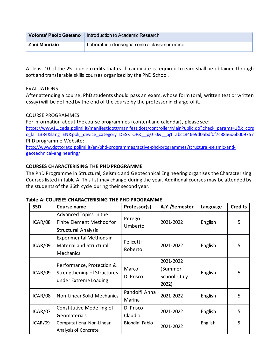| Volonte' Paolo Gaetano | Introduction to Academic Research             |
|------------------------|-----------------------------------------------|
| Zani Maurizio          | Laboratorio di insegnamento a classi numerose |

At least 10 of the 25 course credits that each candidate is required to earn shall be obtained through soft and transferable skills courses organized by the PhD School.

## EVALUATIONS

After attending a course, PhD students should pass an exam, whose form (oral, written test or written essay) will be defined by the end of the course by the professor in charge of it.

## COURSE PROGRAMMES

For information about the course programmes (content and calendar), please see: [https://www11.ceda.polimi.it/manifestidott/manifestidott/controller/MainPublic.do?check\\_params=1&k\\_cors](https://www11.ceda.polimi.it/manifestidott/manifestidott/controller/MainPublic.do?check_params=1&k_corso_la=1384&lang=EN&polij_device_category=DESKTOP&__pj0=0&__pj1=abcc846e9d0abdf0f7c88a6d6b009757) [o\\_la=1384&lang=EN&polij\\_device\\_category=DESKTOP&\\_\\_pj0=0&\\_\\_pj1=abcc846e9d0abdf0f7c88a6d6b009757](https://www11.ceda.polimi.it/manifestidott/manifestidott/controller/MainPublic.do?check_params=1&k_corso_la=1384&lang=EN&polij_device_category=DESKTOP&__pj0=0&__pj1=abcc846e9d0abdf0f7c88a6d6b009757) PhD programme Website: [http://www.dottorato.polimi.it/en/phd-programmes/active-phd-programmes/structural-seismic-and-](http://www.dottorato.polimi.it/en/phd-programmes/active-phd-programmes/structural-seismic-and-geotechnical-engineering/)

[geotechnical-engineering/](http://www.dottorato.polimi.it/en/phd-programmes/active-phd-programmes/structural-seismic-and-geotechnical-engineering/)

### **COURSES CHARACTERISING THE PHD PROGRAMME**

The PhD Programme in Structural, Seismic and Geotechnical Engineering organises the Characterising Courses listed in table A. This list may change during the year. Additional courses may be attended by the students of the 36th cycle during their second year.

| <b>SSD</b> | Course name                                                                       | Professor(s)            | A.Y./Semester                                  | Language | <b>Credits</b> |
|------------|-----------------------------------------------------------------------------------|-------------------------|------------------------------------------------|----------|----------------|
| ICAR/08    | Advanced Topics in the<br>Finite Element Method for<br><b>Structural Analysis</b> | Perego<br>Umberto       | 2021-2022                                      | English  | 5              |
| ICAR/09    | <b>Experimental Methods in</b><br><b>Material and Structural</b><br>Mechanics     | Felicetti<br>Roberto    | 2021-2022                                      | English  | 5              |
| ICAR/09    | Performance, Protection &<br>Strengthening of Structures<br>under Extreme Loading | Marco<br>Di Prisco      | 2021-2022<br>(Summer<br>School - July<br>2022) | English  | 5              |
| ICAR/08    | Non-Linear Solid Mechanics                                                        | Pandolfi Anna<br>Marina | 2021-2022                                      | English  | 5              |
| ICAR/07    | Constitutive Modelling of<br>Geomaterials                                         | Di Prisco<br>Claudio    | 2021-2022                                      | English  | 5.             |
| ICAR/09    | Computational Non-Linear<br>Analysis of Concrete                                  | Biondini Fabio          | 2021-2022                                      | English  | 5              |

#### **Table A: COURSES CHARACTERISING THE PHD PROGRAMME**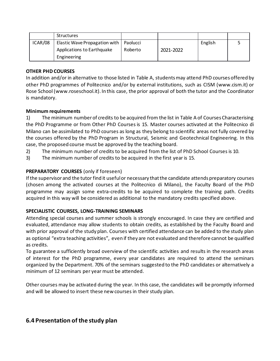|         | <b>Structures</b>                        |         |           |         |  |
|---------|------------------------------------------|---------|-----------|---------|--|
| ICAR/08 | Elastic Wave Propagation with   Paolucci |         |           | English |  |
|         | Applications to Earthquake               | Roberto | 2021-2022 |         |  |
|         | Engineering                              |         |           |         |  |

### **OTHER PHD COURSES**

In addition and/or in alternative to those listed in Table A, students may attend PhD courses offered by other PhD programmes of Politecnico and/or by external institutions, such as CISM (www.cism.it) or Rose School (www.roseschool.it). In this case, the prior approval of both the tutor and the Coordinator is mandatory.

## **Minimum requirements**

1) The minimum number of credits to be acquired from the list in Table A of Courses Characterising the PhD Programme or from Other PhD Courses is 15. Master courses activated at the Politecnico di Milano can be assimilated to PhD courses as long as they belong to scientific areas not fully covered by the courses offered by the PhD Program in Structural, Seismic and Geotechnical Engineering. In this case, the proposed course must be approved by the teaching board.

- 2) The minimum number of credits to be acquired from the list of PhD School Courses is 10.
- 3) The minimum number of credits to be acquired in the first year is 15.

## **PREPARATORY COURSES** (only if foreseen)

If the supervisor and the tutor find it useful or necessary that the candidate attends preparatory courses (chosen among the activated courses at the Politecnico di Milano), the Faculty Board of the PhD programme may assign some extra-credits to be acquired to complete the training path. Credits acquired in this way will be considered as additional to the mandatory credits specified above.

## **SPECIALISTIC COURSES, LONG-TRAINING SEMINARS**

Attending special courses and summer schools is strongly encouraged. In case they are certified and evaluated, attendance may allow students to obtain credits, as established by the Faculty Board and with prior approval of the study plan. Courses with certified attendance can be added to the study plan as optional "extra teaching activities", even if they are not evaluated and therefore cannot be qualified as credits.

To guarantee a sufficiently broad overview of the scientific activities and results in the research areas of interest for the PhD programme, every year candidates are required to attend the seminars organized by the Department. 70% of the seminars suggested to the PhD candidates or alternatively a minimum of 12 seminars per year must be attended.

Other courses may be activated during the year. In this case, the candidates will be promptly informed and will be allowed to insert these new courses in their study plan.

## **6.4 Presentation of the study plan**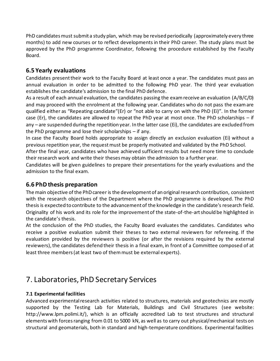PhD candidates must submit a study plan, which may be revised periodically (approximately every three months) to add new courses or to reflect developments in their PhD career. The study plans must be approved by the PhD programme Coordinator, following the procedure established by the Faculty Board.

## **6.5 Yearly evaluations**

Candidates present their work to the Faculty Board at least once a year. The candidates must pass an annual evaluation in order to be admitted to the following PhD year. The third year evaluation establishes the candidate's admission to the final PhD defence.

As a result of each annual evaluation, the candidates passing the exam receive an evaluation (A/B/C/D) and may proceed with the enrolment at the following year. Candidates who do not pass the exam are qualified either as "Repeating candidate"(Er) or "not able to carry on with the PhD (Ei)". In the former case (Er), the candidates are allowed to repeat the PhD year at most once. The PhD scholarships – if any  $-$  are suspended during the repetition year. In the latter case (Ei), the candidates are excluded from the PhD programme and lose their scholarships – if any.

In case the Faculty Board holds appropriate to assign directly an exclusion evaluation (Ei) without a previous repetition year, the request must be properly motivated and validated by the PhD School.

After the final year, candidates who have achieved sufficient results but need more time to conclude their research work and write their thesesmay obtain the admission to a further year.

Candidates will be given guidelines to prepare their presentations for the yearly evaluations and the admission to the final exam.

## **6.6 PhD thesis preparation**

The main objective of the PhD career is the development of an original research contribution, consistent with the research objectives of the Department where the PhD programme is developed. The PhD thesis is expected to contribute to the advancementof the knowledge in the candidate's research field. Originality of his work and its role for the improvement of the state-of-the-art should be highlighted in the candidate's thesis.

At the conclusion of the PhD studies, the Faculty Board evaluates the candidates. Candidates who receive a positive evaluation submit their theses to two external reviewers for refereeing. If the evaluation provided by the reviewers is positive (or after the revisions required by the external reviewers), the candidates defend their thesis in a final exam, in front of a Committee composed of at least three members (at least two of themmust be external experts).

## 7. Laboratories, PhD Secretary Services

## **7.1 Experimental facilities**

Advanced experimental research activities related to structures, materials and geotechnics are mostly supported by the Testing Lab for Materials, Buildings and Civil Structures (see website: http://www.lpm.polimi.it/), which is an officially accredited Lab to test structures and structural elements with forces ranging from 0.01 to 5000 kN, as well as to carry out physical/mechanical tests on structural and geomaterials, both in standard and high-temperature conditions. Experimental facilities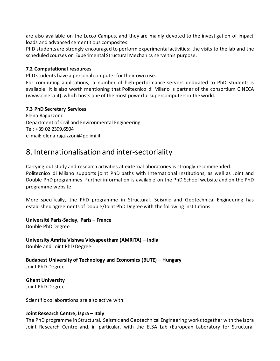are also available on the Lecco Campus, and they are mainly devoted to the investigation of impact loads and advanced cementitious composites.

PhD students are strongly encouraged to perform experimental activities: the visits to the lab and the scheduled courses on Experimental Structural Mechanics serve this purpose.

#### **7.2 Computational resources**

PhD students have a personal computer for their own use.

For computing applications, a number of high-performance servers dedicated to PhD students is available. It is also worth mentioning that Politecnico di Milano is partner of the consortium CINECA (www.cineca.it), which hosts one of the most powerful supercomputers in the world.

### **7.3 PhD Secretary Services**

Elena Raguzzoni Department of Civil and Environmental Engineering Tel: +39 02 2399.6504 e-mail: elena.raguzzoni@polimi.it

## 8. Internationalisation and inter-sectoriality

Carrying out study and research activities at external laboratories is strongly recommended. Politecnico di Milano supports joint PhD paths with International Institutions, as well as Joint and Double PhD programmes. Further information is available on the PhD School website and on the PhD programme website.

More specifically, the PhD programme in Structural, Seismic and Geotechnical Engineering has established agreements of Double/Joint PhD Degree with the following institutions:

**Université Paris-Saclay, Paris – France** Double PhD Degree

**University Amrita Vishwa Vidyapeetham (AMRITA) – India** Double and Joint PhD Degree

**Budapest University of Technology and Economics (BUTE) – Hungary** Joint PhD Degree.

**Ghent University** Joint PhD Degree

Scientific collaborations are also active with:

#### **Joint Research Centre, Ispra – Italy**

The PhD programme in Structural, Seismic and Geotechnical Engineering works together with the Ispra Joint Research Centre and, in particular, with the ELSA Lab (European Laboratory for Structural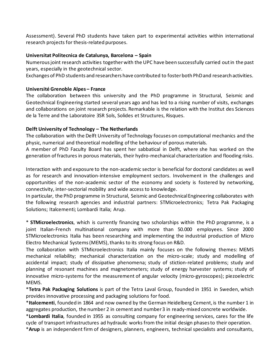Assessment). Several PhD students have taken part to experimental activities within international research projects for thesis-related purposes.

#### **Universitat Politecnica de Catalunya, Barcelona – Spain**

Numerous joint research activities together with the UPC have been successfully carried out in the past years, especially in the geotechnical sector.

Exchanges of PhD students and researchers have contributed to foster both PhD and research activities.

### **Université Grenoble Alpes – France**

The collaboration between this university and the PhD programme in Structural, Seismic and Geotechnical Engineering started several years ago and has led to a rising number of visits, exchanges and collaborations on joint research projects. Remarkable is the relation with the Institut des Sciences de la Terre and the Laboratoire 3SR Sols, Solides et Structures, Risques.

### **Delft University of Technology – The Netherlands**

The collaboration with the Delft University of Technology focuses on computational mechanics and the physic, numerical and theoretical modelling ofthe behaviour of porous materials.

A member of PhD Faculty Board has spent her sabbatical in Delft, where she has worked on the generation of fractures in porous materials, their hydro-mechanical characterization and flooding risks.

Interaction with and exposure to the non-academic sector is beneficial for doctoral candidates as well as for research and innovation-intensive employment sectors. Involvement in the challenges and opportunities of the non-academic sector of the economy and society is fostered by networking, connectivity, inter-sectorial mobility and wide access to knowledge.

In particular, the PhD programme in Structural, Seismic and Geotechnical Engineering collaborates with the following research agencies and industrial partners: STMicroelectronics; Tetra Pak Packaging Solutions; Italcementi; Lombardi Italia; Arup.

\* **STMicroelectronics**, which is currently financing two scholarships within the PhD programme, is a joint Italian-French multinational company with more than 50.000 employees. Since 2000 STMicroelectronics Italia has been researching and implementing the industrial production of Micro Electro Mechanical Systems (MEMS), thanks to its strong focus on R&D.

The collaboration with STMicroelectronics Italia mainly focuses on the following themes: MEMS mechanical reliability; mechanical characterization on the micro-scale; study and modelling of accidental impact; study of dissipative phenomena; study of stiction-related problems; study and planning of resonant machines and magnetometers; study of energy harvester systems; study of innovative micro-systems for the measurement of angular velocity (micro-gyroscopes); piezoelectric MEMS.

\***Tetra Pak Packaging Solutions** is part of the Tetra Laval Group, founded in 1951 in Sweden, which provides innovative processing and packaging solutions for food.

\***Italcementi**, founded in 1864 and now owned by the German Heidelberg Cement, is the number 1 in aggregates production, the number 2 in cement and number 3 in ready-mixed concrete worldwide.

\***Lombardi Italia**, founded in 1955 as consulting company for engineering services, cares for the life cycle of transport infrastructures ad hydraulic works from the initial design phases to their operation.

\***Arup** is an independent firm of designers, planners, engineers, technical specialists and consultants,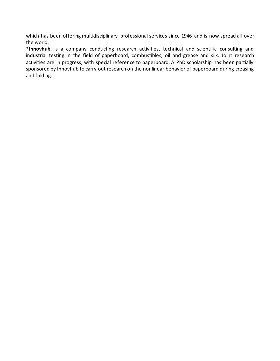which has been offering multidisciplinary professional services since 1946 and is now spread all over the world.

\***Innovhub**, is a company conducting research activities, technical and scientific consulting and industrial testing in the field of paperboard, combustibles, oil and grease and silk. Joint research activities are in progress, with special reference to paperboard. A PhD scholarship has been partially sponsored by Innovhub to carry out research on the nonlinear behavior of paperboard during creasing and folding.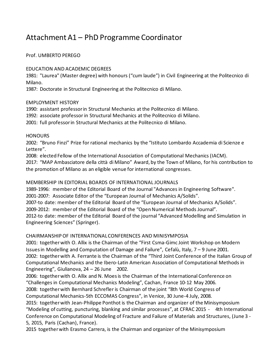## Attachment A1 – PhD Programme Coordinator

## Prof. UMBERTO PEREGO

### EDUCATION AND ACADEMIC DEGREES

1981: "Laurea" (Master degree) with honours ("cum laude") in Civil Engineering at the Politecnico di Milano.

1987: Doctorate in Structural Engineering at the Politecnico di Milano.

## EMPLOYMENT HISTORY

1990: assistant professor in Structural Mechanics at the Politecnico di Milano.

1992: associate professor in Structural Mechanics at the Politecnico di Milano.

2001: full professor in Structural Mechanics at the Politecnico di Milano.

## **HONOURS**

2002: "Bruno Finzi" Prize for rational mechanics by the "Istituto Lombardo Accademia di Scienze e Lettere".

2008: elected Fellow of the International Association of Computational Mechanics (IACM). 2017: "MAP Ambasciatore della città di Milano" Award, by the Town of Milano, for his contribution to the promotion of Milano as an eligible venue for international congresses.

## MEMBERSHIP IN EDITORIAL BOARDS OF INTERNATIONAL JOURNALS

1989-1996: member of the Editorial Board of the Journal "Advances in Engineering Software". 2001-2007: Associate Editor of the "European Journal of Mechanics A/Solids". 2007-to date: member of the Editorial Board of the "European Journal of Mechanics A/Solids". 2009-2012: member of the Editorial Board of the "Open Numerical Methods Journal". 2012-to date: member of the Editorial Board of the journal "Advanced Modelling and Simulation in Engineering Sciences" (Springer).

## CHAIRMANSHIP OF INTERNATIONAL CONFERENCES AND MINISYMPOSIA

2001: together with O. Allix is the Chairman of the "First Csma-Gimc Joint Workshop on Modern Issues in Modelling and Computation of Damage and Failure", Cefalù, Italy, 7 – 9 June 2001. 2002: together with A. Ferrante is the Chairman of the "Third Joint Conference of the Italian Group of Computational Mechanics and the Ibero-Latin American Association of Computational Methods in Engineering", Giulianova, 24 – 26 June 2002.

2006: together with O. Allix and N. Moes is the Chairman of the International Conference on "Challenges in Computational Mechanics Modeling", Cachan, France 10-12 May 2006.

2008: together with Bernhard Schrefler is Chairman of the joint "8th World Congress of

Computational Mechanics-5th ECCOMAS Congress", in Venice, 30 June-4 July, 2008.

2015: together with Jean-Philippe Ponthot is the Chairman and organizer of the Minisymposium "Modeling of cutting, puncturing, blanking and similar processes", at CFRAC 2015 - 4th International Conference on Computational Modeling of Fracture and Failure of Materials and Structures, (June 3 - 5, 2015, Paris (Cachan), France).

2015 together with Erasmo Carrera, is the Chairman and organizer of the Minisymposium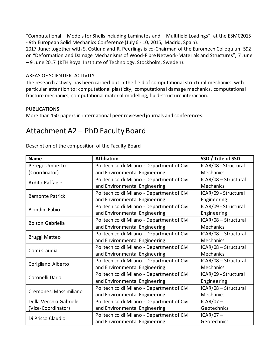"Computational Models for Shells including Laminates and Multifield Loadings", at the ESMC2015 - 9th European Solid Mechanics Conference (July 6 - 10, 2015, Madrid, Spain).

2017 June: together with S. Ostlund and R. Peerlings is co-Chairman of the Euromech Colloquium 592 on "Deformation and Damage Mechanisms of Wood-Fibre Network-Materials and Structures", 7 June – 9 June 2017 (KTH Royal Institute of Technology, Stockholm, Sweden).

### AREAS OF SCIENTIFIC ACTIVITY

The research activity has been carried out in the field of computational structural mechanics, with particular attention to: computational plasticity, computational damage mechanics, computational fracture mechanics, computational material modelling, fluid-structure interaction.

#### PUBLICATIONS

More than 150 papers in international peer reviewed journals and conferences.

## Attachment A2 – PhD Faculty Board

| <b>Name</b>             | <b>Affiliation</b>                                         | SSD / Title of SSD   |  |
|-------------------------|------------------------------------------------------------|----------------------|--|
| Perego Umberto          | Politecnico di Milano - Department of Civil                | ICAR/08 - Structural |  |
| (Coordinator)           | and Environmental Engineering                              | Mechanics            |  |
| Ardito Raffaele         | Politecnico di Milano - Department of Civil                | ICAR/08 - Structural |  |
|                         | and Environmental Engineering                              | Mechanics            |  |
| <b>Bamonte Patrick</b>  | Politecnico di Milano - Department of Civil                | ICAR/09 - Structural |  |
|                         | and Environmental Engineering                              | Engineering          |  |
| <b>Biondini Fabio</b>   | Politecnico di Milano - Department of Civil                | ICAR/09 - Structural |  |
|                         | and Environmental Engineering                              | Engineering          |  |
| <b>Bolzon Gabriella</b> | Politecnico di Milano - Department of Civil                | ICAR/08 - Structural |  |
|                         | and Environmental Engineering                              | Mechanics            |  |
|                         | Politecnico di Milano - Department of Civil                | ICAR/08 - Structural |  |
| <b>Bruggi Matteo</b>    | and Environmental Engineering                              | Mechanics            |  |
| Comi Claudia            | Politecnico di Milano - Department of Civil                | ICAR/08 - Structural |  |
|                         | and Environmental Engineering                              | Mechanics            |  |
|                         | Politecnico di Milano - Department of Civil                | ICAR/08 - Structural |  |
| Corigliano Alberto      | and Environmental Engineering                              | Mechanics            |  |
| Coronelli Dario         | Politecnico di Milano - Department of Civil                | ICAR/09 - Structural |  |
|                         | and Environmental Engineering                              | Engineering          |  |
| Cremonesi Massimiliano  | Politecnico di Milano - Department of Civil                | ICAR/08 - Structural |  |
|                         | and Environmental Engineering                              | Mechanics            |  |
| Della Vecchia Gabriele  | Politecnico di Milano - Department of Civil                | $ICAR/07 -$          |  |
| (Vice-Coordinator)      | and Environmental Engineering                              | Geotechnics          |  |
| Di Prisco Claudio       | Politecnico di Milano - Department of Civil<br>$ICAR/07 -$ |                      |  |
|                         | and Environmental Engineering                              | Geotechnics          |  |

Description of the composition of the Faculty Board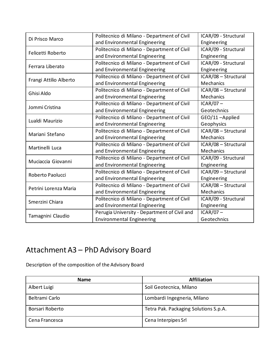| Di Prisco Marco        | Politecnico di Milano - Department of Civil  | ICAR/09 - Structural |  |
|------------------------|----------------------------------------------|----------------------|--|
|                        | and Environmental Engineering                | Engineering          |  |
| Felicetti Roberto      | Politecnico di Milano - Department of Civil  | ICAR/09 - Structural |  |
|                        | and Environmental Engineering                | Engineering          |  |
| Ferrara Liberato       | Politecnico di Milano - Department of Civil  | ICAR/09 - Structural |  |
|                        | and Environmental Engineering                | Engineering          |  |
|                        | Politecnico di Milano - Department of Civil  | ICAR/08 - Structural |  |
| Frangi Attilio Alberto | and Environmental Engineering                | Mechanics            |  |
| Ghisi Aldo             | Politecnico di Milano - Department of Civil  | ICAR/08 - Structural |  |
|                        | and Environmental Engineering                | Mechanics            |  |
|                        | Politecnico di Milano - Department of Civil  | $ICAR/07 -$          |  |
| Jommi Cristina         | and Environmental Engineering                | Geotechnics          |  |
| Lualdi Maurizio        | Politecnico di Milano - Department of Civil  | GEO/11-Applied       |  |
|                        | and Environmental Engineering                | Geophysics           |  |
| Mariani Stefano        | Politecnico di Milano - Department of Civil  | ICAR/08 - Structural |  |
|                        | and Environmental Engineering                | Mechanics            |  |
| Martinelli Luca        | Politecnico di Milano - Department of Civil  | ICAR/08 - Structural |  |
|                        | and Environmental Engineering                | Mechanics            |  |
| Muciaccia Giovanni     | Politecnico di Milano - Department of Civil  | ICAR/09 - Structural |  |
|                        | and Environmental Engineering                | Engineering          |  |
| Roberto Paolucci       | Politecnico di Milano - Department of Civil  | ICAR/09 - Structural |  |
|                        | and Environmental Engineering                | Engineering          |  |
| Petrini Lorenza Maria  | Politecnico di Milano - Department of Civil  | ICAR/08 - Structural |  |
|                        | and Environmental Engineering                | Mechanics            |  |
| Smerzini Chiara        | Politecnico di Milano - Department of Civil  | ICAR/09 - Structural |  |
|                        | and Environmental Engineering                | Engineering          |  |
|                        | Perugia University - Department of Civil and | $ICAR/07-$           |  |
| Tamagnini Claudio      | <b>Environmental Engineering</b>             | Geotechnics          |  |

# Attachment A3 – PhD Advisory Board

Description of the composition of the Advisory Board

| <b>Name</b>     | <b>Affiliation</b>                    |
|-----------------|---------------------------------------|
| Albert Luigi    | Soil Geotecnica, Milano               |
| Beltrami Carlo  | Lombardi Ingegneria, Milano           |
| Borsari Roberto | Tetra Pak. Packaging Solutions S.p.A. |
| Cena Francesca  | Cena Interpipes Srl                   |